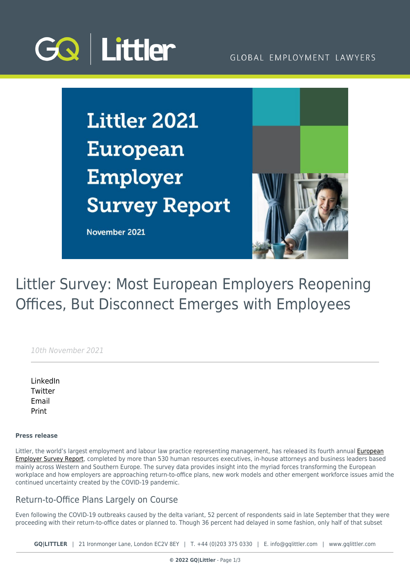

#### GLOBAL EMPLOYMENT LAWYERS

**Littler 2021 European** Employer **Survey Report** 

November 2021



# Littler Survey: Most European Employers Reopening Offices, But Disconnect Emerges with Employees

10th November 2021

[LinkedIn](https://www.linkedin.com/shareArticle?mini=true&url=https%3A%2F%2Fwww.gqlittler.com%2Fresources%2Fnews-and-views%2Flittler-survey-most-european-employers-reopening-offices-but-disconnect-emerges-with-employees.htm%3Funlock%3Dtrue&title=Littler+Survey%3A+Most+European+Employers+Reopening+Offices%2C+But+Disconnect+Emerges+with+Employees&summary=Fourth+annual+survey+of+more+than+530+executives+reveals+the+myriad+forces+transforming+the+European+workplace+and+the+future+of+work&source=GQ+%7C+Littler) **[Twitter](https://twitter.com/share?text=Littler+Survey%3A+Most+European+Employers+Reopening+Offices%2C+But+Disconnect+Emerges+with+Employees&url=https%3A%2F%2Fwww.gqlittler.com%2Fresources%2Fnews-and-views%2Flittler-survey-most-european-employers-reopening-offices-but-disconnect-emerges-with-employees.htm&hashtags=)** [Email](mailto:?subject=Littler Survey: Most European Employers Reopening Offices, But Disconnect Emerges with Employees&body=I) [Print](https://www.bg-pdf.co.uk/_GQ/page.php?M=6148523063484d364c793933643363755a33467361585230624756794c6d4e76625339795a584e7664584a6a5a584d76626d563363793168626d5174646d6c6c64334d7662476c306447786c6369317a64584a325a586b746257397a6443316c64584a76634756686269316c6258427362336c6c636e4d74636d5676634756756157356e4c57396d5a6d6c6a5a584d74596e56304c57527063324e76626d356c593351745a57316c636d646c637931336158526f4c575674634778766557566c6379356f6447306a51434e4d615852306247567949464e31636e5a6c65546f675457397a6443424664584a7663475668626942466258427362336c6c636e4d67556d5676634756756157356e4945396d5a6d6c6a5a584d7349454a316443424561584e6a623235755a574e30494556745a584a6e5a584d6764326c30614342466258427362336c6c5a584d6a51434e7361585230624756794c584e31636e5a6c6553317462334e304c575631636d39775a5746754c5756746347787665575679637931795a5739775a573570626d637462325a6d61574e6c63793169645851745a476c7a59323975626d566a6443316c625756795a32567a4c586470644767745a573177624739355a57567a)

#### **Press release**

Littler, the world's largest employment and labour law practice representing management, has released its fourth annual *[European](https://www.littler.com/files/2021_littler_european_employer_survey_report.pdf)* [Employer Survey Report](https://www.littler.com/files/2021_littler_european_employer_survey_report.pdf), completed by more than 530 human resources executives, in-house attorneys and business leaders based mainly across Western and Southern Europe. The survey data provides insight into the myriad forces transforming the European workplace and how employers are approaching return-to-office plans, new work models and other emergent workforce issues amid the continued uncertainty created by the COVID-19 pandemic.

#### Return-to-Office Plans Largely on Course

Even following the COVID-19 outbreaks caused by the delta variant, 52 percent of respondents said in late September that they were proceeding with their return-to-office dates or planned to. Though 36 percent had delayed in some fashion, only half of that subset

**GQ|LITTLER** | 21 Ironmonger Lane, London EC2V 8EY | T. [+44 \(0\)203 375 0330](https://www.bg-pdf.co.uk/_GQ/tel:+442033750330) | E. [info@gqlittler.com](mailto:info@gqlittler.com) | [www.gqlittler.com](https://www.gqlittler.com)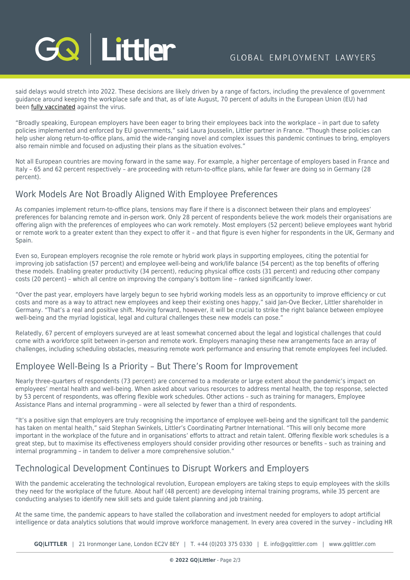

said delays would stretch into 2022. These decisions are likely driven by a range of factors, including the prevalence of government guidance around keeping the workplace safe and that, as of late August, 70 percent of adults in the European Union (EU) had been **fully vaccinated** against the virus.

"Broadly speaking, European employers have been eager to bring their employees back into the workplace – in part due to safety policies implemented and enforced by EU governments," said Laura Jousselin, Littler partner in France. "Though these policies can help usher along return-to-office plans, amid the wide-ranging novel and complex issues this pandemic continues to bring, employers also remain nimble and focused on adjusting their plans as the situation evolves."

Not all European countries are moving forward in the same way. For example, a higher percentage of employers based in France and Italy – 65 and 62 percent respectively – are proceeding with return-to-office plans, while far fewer are doing so in Germany (28 percent).

#### Work Models Are Not Broadly Aligned With Employee Preferences

As companies implement return-to-office plans, tensions may flare if there is a disconnect between their plans and employees' preferences for balancing remote and in-person work. Only 28 percent of respondents believe the work models their organisations are offering align with the preferences of employees who can work remotely. Most employers (52 percent) believe employees want hybrid or remote work to a greater extent than they expect to offer it – and that figure is even higher for respondents in the UK, Germany and Spain.

Even so, European employers recognise the role remote or hybrid work plays in supporting employees, citing the potential for improving job satisfaction (57 percent) and employee well-being and work/life balance (54 percent) as the top benefits of offering these models. Enabling greater productivity (34 percent), reducing physical office costs (31 percent) and reducing other company costs (20 percent) – which all centre on improving the company's bottom line – ranked significantly lower.

"Over the past year, employers have largely begun to see hybrid working models less as an opportunity to improve efficiency or cut costs and more as a way to attract new employees and keep their existing ones happy," said Jan-Ove Becker, Littler shareholder in Germany. "That's a real and positive shift. Moving forward, however, it will be crucial to strike the right balance between employee well-being and the myriad logistical, legal and cultural challenges these new models can pose."

Relatedly, 67 percent of employers surveyed are at least somewhat concerned about the legal and logistical challenges that could come with a workforce split between in-person and remote work. Employers managing these new arrangements face an array of challenges, including scheduling obstacles, measuring remote work performance and ensuring that remote employees feel included.

# Employee Well-Being Is a Priority – But There's Room for Improvement

Nearly three-quarters of respondents (73 percent) are concerned to a moderate or large extent about the pandemic's impact on employees' mental health and well-being. When asked about various resources to address mental health, the top response, selected by 53 percent of respondents, was offering flexible work schedules. Other actions – such as training for managers, Employee Assistance Plans and internal programming – were all selected by fewer than a third of respondents.

"It's a positive sign that employers are truly recognising the importance of employee well-being and the significant toll the pandemic has taken on mental health," said Stephan Swinkels, Littler's Coordinating Partner International. "This will only become more important in the workplace of the future and in organisations' efforts to attract and retain talent. Offering flexible work schedules is a great step, but to maximise its effectiveness employers should consider providing other resources or benefits – such as training and internal programming – in tandem to deliver a more comprehensive solution."

### Technological Development Continues to Disrupt Workers and Employers

With the pandemic accelerating the technological revolution. European employers are taking steps to equip employees with the skills they need for the workplace of the future. About half (48 percent) are developing internal training programs, while 35 percent are conducting analyses to identify new skill sets and guide talent planning and job training.

At the same time, the pandemic appears to have stalled the collaboration and investment needed for employers to adopt artificial intelligence or data analytics solutions that would improve workforce management. In every area covered in the survey – including HR

**GQ|LITTLER** | 21 Ironmonger Lane, London EC2V 8EY | T. [+44 \(0\)203 375 0330](https://www.bg-pdf.co.uk/_GQ/tel:+442033750330) | E. [info@gqlittler.com](mailto:info@gqlittler.com) | [www.gqlittler.com](https://www.gqlittler.com)